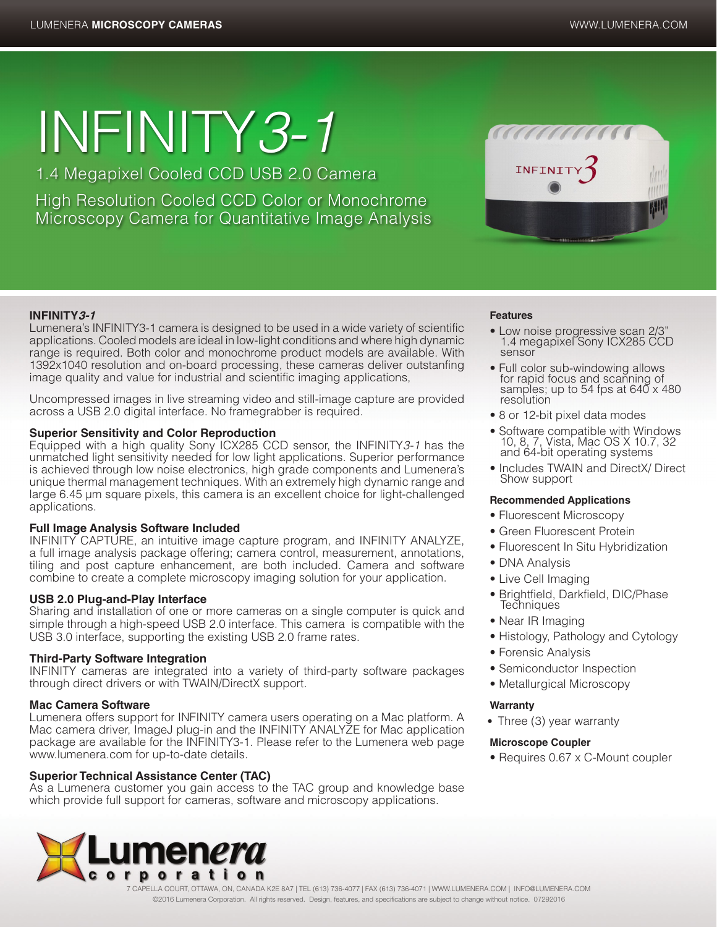# INFINITY*3-1*

1.4 Megapixel Cooled CCD USB 2.0 Camera

High Resolution Cooled CCD Color or Monochrome Microscopy Camera for Quantitative Image Analysis



# **INFINITY3-1**

Lumenera's INFINITY3-1 camera is designed to be used in a wide variety of scientific applications. Cooled models are ideal in low-light conditions and where high dynamic range is required. Both color and monochrome product models are available. With 1392x1040 resolution and on-board processing, these cameras deliver outstanfing image quality and value for industrial and scientific imaging applications,

Uncompressed images in live streaming video and still-image capture are provided across a USB 2.0 digital interface. No framegrabber is required.

# **Superior Sensitivity and Color Reproduction**

Equipped with a high quality Sony ICX285 CCD sensor, the INFINITY*3-1* has the unmatched light sensitivity needed for low light applications. Superior performance is achieved through low noise electronics, high grade components and Lumenera's unique thermal management techniques. With an extremely high dynamic range and large 6.45 µm square pixels, this camera is an excellent choice for light-challenged applications.

# **Full Image Analysis Software Included**

INFINITY CAPTURE, an intuitive image capture program, and INFINITY ANALYZE, a full image analysis package offering; camera control, measurement, annotations, tiling and post capture enhancement, are both included. Camera and software combine to create a complete microscopy imaging solution for your application.

# **USB 2.0 Plug-and-Play Interface**

Sharing and installation of one or more cameras on a single computer is quick and simple through a high-speed USB 2.0 interface. This camera is compatible with the USB 3.0 interface, supporting the existing USB 2.0 frame rates.

# **Third-Party Software Integration**

INFINITY cameras are integrated into a variety of third-party software packages through direct drivers or with TWAIN/DirectX support.

# **Mac Camera Software**

Lumenera offers support for INFINITY camera users operating on a Mac platform. A Mac camera driver, ImageJ plug-in and the INFINITY ANALYZE for Mac application package are available for the INFINITY3-1. Please refer to the Lumenera web page www.lumenera.com for up-to-date details.

# **Superior Technical Assistance Center (TAC)**

As a Lumenera customer you gain access to the TAC group and knowledge base which provide full support for cameras, software and microscopy applications.



7 CAPELLA COURT, OTTAWA, ON, CANADA K2E 8A7 | TEL (613) 736-4077 | FAX (613) 736-4071 | WWW.LUMENERA.COM | INFO@LUMENERA.COM ©2016 Lumenera Corporation. All rights reserved. Design, features, and specifications are subject to change without notice. 07292016

### **Features**

- Low noise progressive scan 2/3" 1.4 megapixel Sony ICX285 CCD sensor
- Full color sub-windowing allows for rapid focus and scanning of samples; up to 54 fps at  $640 \times 480$ resolution
- 8 or 12-bit pixel data modes
- Software compatible with Windows 10, 8, 7, Vista, Mac OS X 10.7, 32 and 64-bit operating systems
- Includes TWAIN and DirectX/ Direct Show support

# **Recommended Applications**

- Fluorescent Microscopy
- Green Fluorescent Protein
- Fluorescent In Situ Hybridization
- DNA Analysis
- Live Cell Imaging
- Brightfield, Darkfield, DIC/Phase **Techniques**
- Near IR Imaging
- Histology, Pathology and Cytology
- Forensic Analysis
- Semiconductor Inspection
- Metallurgical Microscopy

# **Warranty**

• Three (3) year warranty

# **Microscope Coupler**

• Requires 0.67 x C-Mount coupler